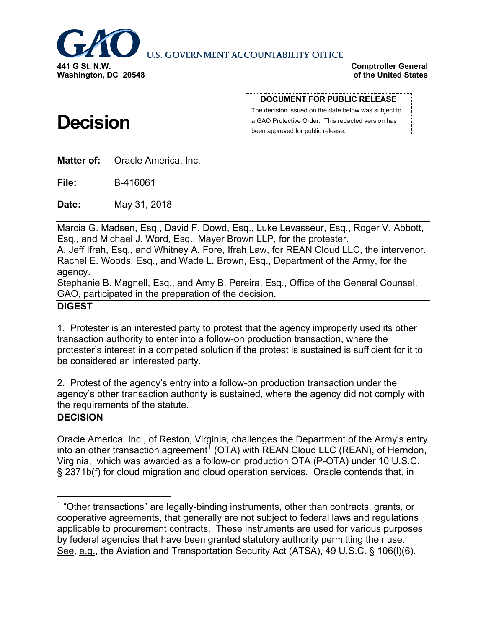

**U.S. GOVERNMENT ACCOUNTABILITY OFFICE** 

**Comptroller General of the United States**

# **Decision**

**DOCUMENT FOR PUBLIC RELEASE**

The decision issued on the date below was subject to a GAO Protective Order. This redacted version has been approved for public release.

**Matter of:** Oracle America, Inc.

**File:** B-416061

**Date:** May 31, 2018

Marcia G. Madsen, Esq., David F. Dowd, Esq., Luke Levasseur, Esq., Roger V. Abbott, Esq., and Michael J. Word, Esq., Mayer Brown LLP, for the protester.

A. Jeff Ifrah, Esq., and Whitney A. Fore, Ifrah Law, for REAN Cloud LLC, the intervenor. Rachel E. Woods, Esq., and Wade L. Brown, Esq., Department of the Army, for the agency.

Stephanie B. Magnell, Esq., and Amy B. Pereira, Esq., Office of the General Counsel, GAO, participated in the preparation of the decision.

# **DIGEST**

1. Protester is an interested party to protest that the agency improperly used its other transaction authority to enter into a follow-on production transaction, where the protester's interest in a competed solution if the protest is sustained is sufficient for it to be considered an interested party.

2. Protest of the agency's entry into a follow-on production transaction under the agency's other transaction authority is sustained, where the agency did not comply with the requirements of the statute.

# **DECISION**

Oracle America, Inc., of Reston, Virginia, challenges the Department of the Army's entry into an other transaction agreement<sup>[1](#page-0-0)</sup> (OTA) with REAN Cloud LLC (REAN), of Herndon, Virginia, which was awarded as a follow-on production OTA (P-OTA) under 10 U.S.C. § 2371b(f) for cloud migration and cloud operation services. Oracle contends that, in

<span id="page-0-0"></span><sup>&</sup>lt;sup>1</sup> "Other transactions" are legally-binding instruments, other than contracts, grants, or cooperative agreements, that generally are not subject to federal laws and regulations applicable to procurement contracts. These instruments are used for various purposes by federal agencies that have been granted statutory authority permitting their use. See, e.g., the Aviation and Transportation Security Act (ATSA), 49 U.S.C. § 106(l)(6).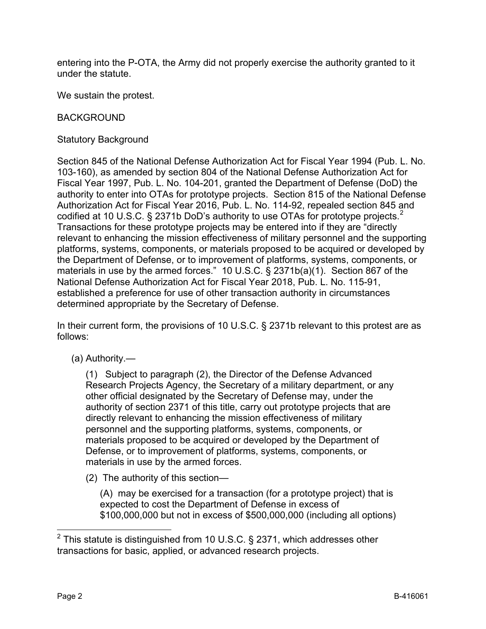entering into the P-OTA, the Army did not properly exercise the authority granted to it under the statute.

We sustain the protest.

## BACKGROUND

Statutory Background

Section 845 of the National Defense Authorization Act for Fiscal Year 1994 (Pub. L. No. 103-160), as amended by section 804 of the National Defense Authorization Act for Fiscal Year 1997, Pub. L. No. 104-201, granted the Department of Defense (DoD) the authority to enter into OTAs for prototype projects. Section 815 of the National Defense Authorization Act for Fiscal Year 2016, Pub. L. No. 114-92, repealed section 845 and codified at 10 U.S.C. § [2](#page-1-0)371b DoD's authority to use OTAs for prototype projects.<sup>2</sup> Transactions for these prototype projects may be entered into if they are "directly relevant to enhancing the mission effectiveness of military personnel and the supporting platforms, systems, components, or materials proposed to be acquired or developed by the Department of Defense, or to improvement of platforms, systems, components, or materials in use by the armed forces." 10 U.S.C. § 2371b(a)(1). Section 867 of the National Defense Authorization Act for Fiscal Year 2018, Pub. L. No. 115-91, established a preference for use of other transaction authority in circumstances determined appropriate by the Secretary of Defense.

In their current form, the provisions of 10 U.S.C. § 2371b relevant to this protest are as follows:

(a) Authority.—

(1) Subject to paragraph (2), the Director of the Defense Advanced Research Projects Agency, the Secretary of a military department, or any other official designated by the Secretary of Defense may, under the authority of section 2371 of this title, carry out prototype projects that are directly relevant to enhancing the mission effectiveness of military personnel and the supporting platforms, systems, components, or materials proposed to be acquired or developed by the Department of Defense, or to improvement of platforms, systems, components, or materials in use by the armed forces.

(2) The authority of this section—

(A) may be exercised for a transaction (for a prototype project) that is expected to cost the Department of Defense in excess of \$100,000,000 but not in excess of \$500,000,000 (including all options)

<span id="page-1-0"></span> $2$  This statute is distinguished from 10 U.S.C. § 2371, which addresses other transactions for basic, applied, or advanced research projects.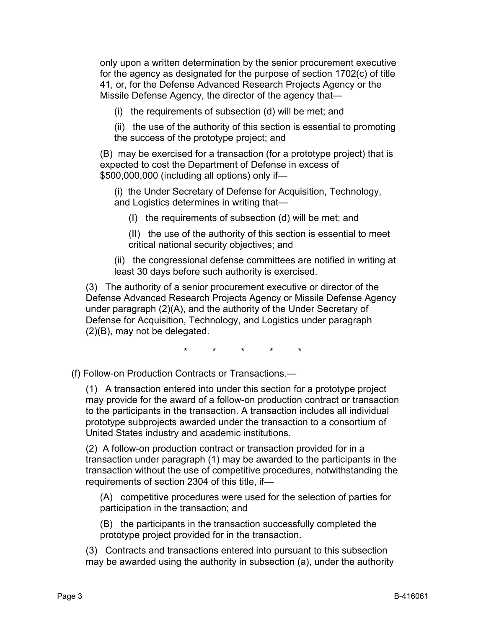only upon a written determination by the senior procurement executive for the agency as designated for the purpose of section 1702(c) of title 41, or, for the Defense Advanced Research Projects Agency or the Missile Defense Agency, the director of the agency that—

(i) the requirements of subsection (d) will be met; and

(ii) the use of the authority of this section is essential to promoting the success of the prototype project; and

(B) may be exercised for a transaction (for a prototype project) that is expected to cost the Department of Defense in excess of \$500,000,000 (including all options) only if—

(i) the Under Secretary of Defense for Acquisition, Technology, and Logistics determines in writing that—

(I) the requirements of subsection (d) will be met; and

(II) the use of the authority of this section is essential to meet critical national security objectives; and

(ii) the congressional defense committees are notified in writing at least 30 days before such authority is exercised.

(3) The authority of a senior procurement executive or director of the Defense Advanced Research Projects Agency or Missile Defense Agency under paragraph (2)(A), and the authority of the Under Secretary of Defense for Acquisition, Technology, and Logistics under paragraph (2)(B), may not be delegated.

\* \* \* \* \*

(f) Follow-on Production Contracts or Transactions.—

(1) A transaction entered into under this section for a prototype project may provide for the award of a follow-on production contract or transaction to the participants in the transaction. A transaction includes all individual prototype subprojects awarded under the transaction to a consortium of United States industry and academic institutions.

(2) A follow-on production contract or transaction provided for in a transaction under paragraph (1) may be awarded to the participants in the transaction without the use of competitive procedures, notwithstanding the requirements of section 2304 of this title, if—

(A) competitive procedures were used for the selection of parties for participation in the transaction; and

(B) the participants in the transaction successfully completed the prototype project provided for in the transaction.

(3) Contracts and transactions entered into pursuant to this subsection may be awarded using the authority in subsection (a), under the authority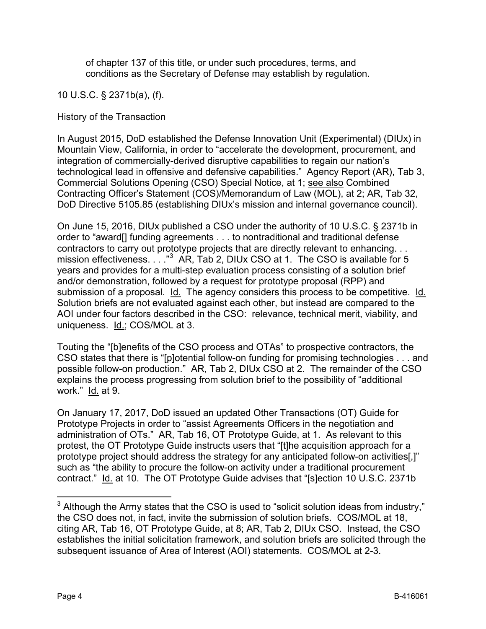of chapter 137 of this title, or under such procedures, terms, and conditions as the Secretary of Defense may establish by regulation.

10 U.S.C. § 2371b(a), (f).

History of the Transaction

In August 2015, DoD established the Defense Innovation Unit (Experimental) (DIUx) in Mountain View, California, in order to "accelerate the development, procurement, and integration of commercially-derived disruptive capabilities to regain our nation's technological lead in offensive and defensive capabilities." Agency Report (AR), Tab 3, Commercial Solutions Opening (CSO) Special Notice, at 1; see also Combined Contracting Officer's Statement (COS)/Memorandum of Law (MOL), at 2; AR, Tab 32, DoD Directive 5105.85 (establishing DIUx's mission and internal governance council).

On June 15, 2016, DIUx published a CSO under the authority of 10 U.S.C. § 2371b in order to "award[] funding agreements . . . to nontraditional and traditional defense contractors to carry out prototype projects that are directly relevant to enhancing. . . mission effectiveness. . . . "<sup>[3](#page-3-0)</sup> AR, Tab 2, DIUx CSO at 1. The CSO is available for 5 years and provides for a multi-step evaluation process consisting of a solution brief and/or demonstration, followed by a request for prototype proposal (RPP) and submission of a proposal. Id. The agency considers this process to be competitive. Id. Solution briefs are not evaluated against each other, but instead are compared to the AOI under four factors described in the CSO: relevance, technical merit, viability, and uniqueness. Id.; COS/MOL at 3.

Touting the "[b]enefits of the CSO process and OTAs" to prospective contractors, the CSO states that there is "[p]otential follow-on funding for promising technologies . . . and possible follow-on production." AR, Tab 2, DIUx CSO at 2. The remainder of the CSO explains the process progressing from solution brief to the possibility of "additional work." Id. at 9.

On January 17, 2017, DoD issued an updated Other Transactions (OT) Guide for Prototype Projects in order to "assist Agreements Officers in the negotiation and administration of OTs." AR, Tab 16, OT Prototype Guide, at 1. As relevant to this protest, the OT Prototype Guide instructs users that "[t]he acquisition approach for a prototype project should address the strategy for any anticipated follow-on activities[,]" such as "the ability to procure the follow-on activity under a traditional procurement contract." Id. at 10. The OT Prototype Guide advises that "[s]ection 10 U.S.C. 2371b

<span id="page-3-0"></span> $3$  Although the Army states that the CSO is used to "solicit solution ideas from industry," the CSO does not, in fact, invite the submission of solution briefs. COS/MOL at 18, citing AR, Tab 16, OT Prototype Guide, at 8; AR, Tab 2, DIUx CSO. Instead, the CSO establishes the initial solicitation framework, and solution briefs are solicited through the subsequent issuance of Area of Interest (AOI) statements. COS/MOL at 2-3.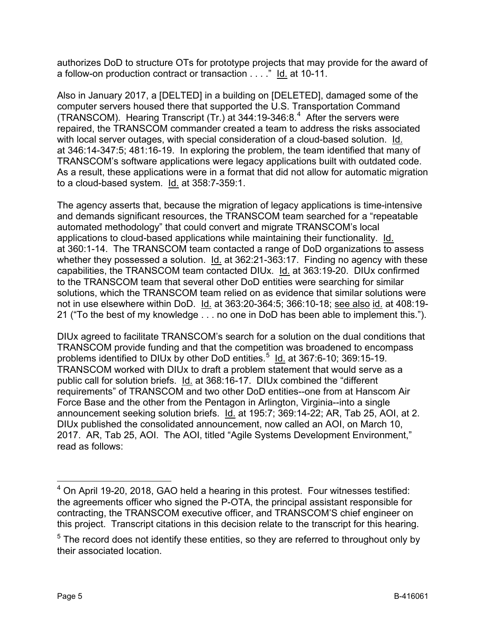authorizes DoD to structure OTs for prototype projects that may provide for the award of a follow-on production contract or transaction . . . ." Id. at 10-11.

Also in January 2017, a [DELTED] in a building on [DELETED], damaged some of the computer servers housed there that supported the U.S. Transportation Command (TRANSCOM). Hearing Transcript  $(Tr.)$  at 3[4](#page-4-0)4:19-346:8.<sup>4</sup> After the servers were repaired, the TRANSCOM commander created a team to address the risks associated with local server outages, with special consideration of a cloud-based solution. Id. at 346:14-347:5; 481:16-19. In exploring the problem, the team identified that many of TRANSCOM's software applications were legacy applications built with outdated code. As a result, these applications were in a format that did not allow for automatic migration to a cloud-based system. Id. at 358:7-359:1.

The agency asserts that, because the migration of legacy applications is time-intensive and demands significant resources, the TRANSCOM team searched for a "repeatable automated methodology" that could convert and migrate TRANSCOM's local applications to cloud-based applications while maintaining their functionality. Id. at 360:1-14. The TRANSCOM team contacted a range of DoD organizations to assess whether they possessed a solution.  $\underline{Id}$  at 362:21-363:17. Finding no agency with these capabilities, the TRANSCOM team contacted DIUx. Id. at 363:19-20. DIUx confirmed to the TRANSCOM team that several other DoD entities were searching for similar solutions, which the TRANSCOM team relied on as evidence that similar solutions were not in use elsewhere within DoD. Id. at 363:20-364:5; 366:10-18; see also id. at 408:19- 21 ("To the best of my knowledge . . . no one in DoD has been able to implement this.").

DIUx agreed to facilitate TRANSCOM's search for a solution on the dual conditions that TRANSCOM provide funding and that the competition was broadened to encompass problems identified to DIUx by other DoD entities.<sup>[5](#page-4-1)</sup> ld. at 367:6-10; 369:15-19. TRANSCOM worked with DIUx to draft a problem statement that would serve as a public call for solution briefs. Id. at 368:16-17. DIUx combined the "different requirements" of TRANSCOM and two other DoD entities--one from at Hanscom Air Force Base and the other from the Pentagon in Arlington, Virginia--into a single announcement seeking solution briefs. Id. at 195:7; 369:14-22; AR, Tab 25, AOI, at 2. DIUx published the consolidated announcement, now called an AOI, on March 10, 2017. AR, Tab 25, AOI. The AOI, titled "Agile Systems Development Environment," read as follows:

<span id="page-4-0"></span> <sup>4</sup> On April 19-20, 2018, GAO held a hearing in this protest. Four witnesses testified: the agreements officer who signed the P-OTA, the principal assistant responsible for contracting, the TRANSCOM executive officer, and TRANSCOM'S chief engineer on this project. Transcript citations in this decision relate to the transcript for this hearing.

<span id="page-4-1"></span> $5$  The record does not identify these entities, so they are referred to throughout only by their associated location.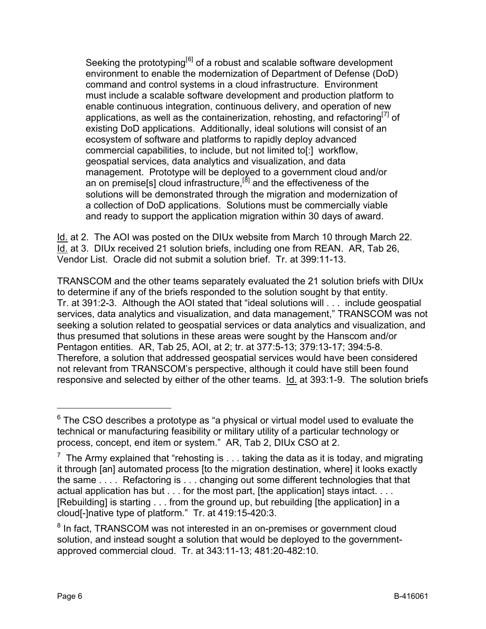Seeking the prototyping<sup>[[6](#page-5-0)]</sup> of a robust and scalable software development environment to enable the modernization of Department of Defense (DoD) command and control systems in a cloud infrastructure. Environment must include a scalable software development and production platform to enable continuous integration, continuous delivery, and operation of new applications, as well as the containerization, rehosting, and refactoring  $\frac{q}{I}$  of existing DoD applications. Additionally, ideal solutions will consist of an ecosystem of software and platforms to rapidly deploy advanced commercial capabilities, to include, but not limited to[:] workflow, geospatial services, data analytics and visualization, and data management. Prototype will be deployed to a government cloud and/or an on premise[s] cloud infrastructure, $[8]$  $[8]$  and the effectiveness of the solutions will be demonstrated through the migration and modernization of a collection of DoD applications. Solutions must be commercially viable and ready to support the application migration within 30 days of award.

Id. at 2. The AOI was posted on the DIUx website from March 10 through March 22. Id. at 3. DIUx received 21 solution briefs, including one from REAN. AR, Tab 26, Vendor List. Oracle did not submit a solution brief. Tr. at 399:11-13.

TRANSCOM and the other teams separately evaluated the 21 solution briefs with DIUx to determine if any of the briefs responded to the solution sought by that entity. Tr. at 391:2-3. Although the AOI stated that "ideal solutions will . . . include geospatial services, data analytics and visualization, and data management," TRANSCOM was not seeking a solution related to geospatial services or data analytics and visualization, and thus presumed that solutions in these areas were sought by the Hanscom and/or Pentagon entities. AR, Tab 25, AOI, at 2; tr. at 377:5-13; 379:13-17; 394:5-8. Therefore, a solution that addressed geospatial services would have been considered not relevant from TRANSCOM's perspective, although it could have still been found responsive and selected by either of the other teams. Id. at 393:1-9. The solution briefs

<span id="page-5-0"></span> $6$  The CSO describes a prototype as "a physical or virtual model used to evaluate the technical or manufacturing feasibility or military utility of a particular technology or process, concept, end item or system." AR, Tab 2, DIUx CSO at 2.

<span id="page-5-1"></span> $^7$  The Army explained that "rehosting is  $\dots$  taking the data as it is today, and migrating it through [an] automated process [to the migration destination, where] it looks exactly the same . . . . Refactoring is . . . changing out some different technologies that that actual application has but . . . for the most part, [the application] stays intact. . . . [Rebuilding] is starting . . . from the ground up, but rebuilding [the application] in a cloud[-]native type of platform." Tr. at 419:15-420:3.

<span id="page-5-2"></span><sup>&</sup>lt;sup>8</sup> In fact, TRANSCOM was not interested in an on-premises or government cloud solution, and instead sought a solution that would be deployed to the governmentapproved commercial cloud. Tr. at 343:11-13; 481:20-482:10.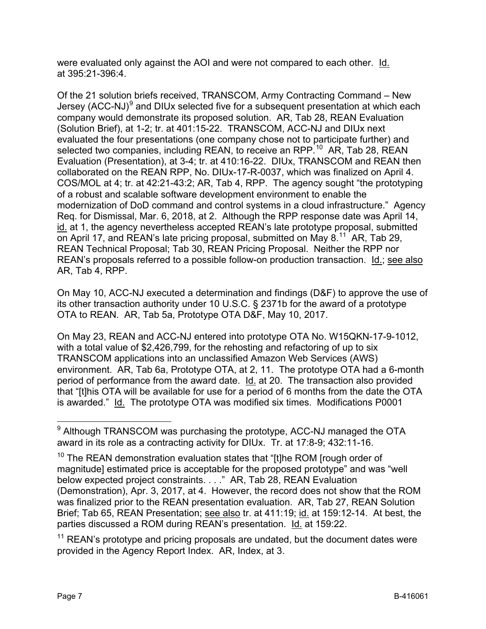were evaluated only against the AOI and were not compared to each other. Id. at 395:21-396:4.

Of the 21 solution briefs received, TRANSCOM, Army Contracting Command – New Jersey (ACC-NJ) $<sup>9</sup>$  $<sup>9</sup>$  $<sup>9</sup>$  and DIUx selected five for a subsequent presentation at which each</sup> company would demonstrate its proposed solution. AR, Tab 28, REAN Evaluation (Solution Brief), at 1-2; tr. at 401:15-22. TRANSCOM, ACC-NJ and DIUx next evaluated the four presentations (one company chose not to participate further) and selected two companies, including REAN, to receive an RPP.<sup>10</sup> AR, Tab 28, REAN Evaluation (Presentation), at 3-4; tr. at 410:16-22. DIUx, TRANSCOM and REAN then collaborated on the REAN RPP, No. DIUx-17-R-0037, which was finalized on April 4. COS/MOL at 4; tr. at 42:21-43:2; AR, Tab 4, RPP. The agency sought "the prototyping of a robust and scalable software development environment to enable the modernization of DoD command and control systems in a cloud infrastructure." Agency Req. for Dismissal, Mar. 6, 2018, at 2. Although the RPP response date was April 14, id. at 1, the agency nevertheless accepted REAN's late prototype proposal, submitted on April 17, and REAN's late pricing proposal, submitted on May 8.<sup>[11](#page-6-2)</sup> AR, Tab 29, REAN Technical Proposal; Tab 30, REAN Pricing Proposal. Neither the RPP nor REAN's proposals referred to a possible follow-on production transaction. Id.; see also AR, Tab 4, RPP.

On May 10, ACC-NJ executed a determination and findings (D&F) to approve the use of its other transaction authority under 10 U.S.C. § 2371b for the award of a prototype OTA to REAN. AR, Tab 5a, Prototype OTA D&F, May 10, 2017.

On May 23, REAN and ACC-NJ entered into prototype OTA No. W15QKN-17-9-1012, with a total value of \$2,426,799, for the rehosting and refactoring of up to six TRANSCOM applications into an unclassified Amazon Web Services (AWS) environment. AR, Tab 6a, Prototype OTA, at 2, 11. The prototype OTA had a 6-month period of performance from the award date. Id. at 20. The transaction also provided that "[t]his OTA will be available for use for a period of 6 months from the date the OTA is awarded." Id. The prototype OTA was modified six times. Modifications P0001

<span id="page-6-0"></span><sup>&</sup>lt;sup>9</sup> Although TRANSCOM was purchasing the prototype, ACC-NJ managed the OTA award in its role as a contracting activity for DIUx. Tr. at 17:8-9; 432:11-16.

<span id="page-6-1"></span> $10$  The REAN demonstration evaluation states that "[t]he ROM [rough order of magnitude] estimated price is acceptable for the proposed prototype" and was "well below expected project constraints. . . ." AR, Tab 28, REAN Evaluation (Demonstration), Apr. 3, 2017, at 4. However, the record does not show that the ROM was finalized prior to the REAN presentation evaluation. AR, Tab 27, REAN Solution Brief; Tab 65, REAN Presentation; see also tr. at 411:19; id. at 159:12-14. At best, the parties discussed a ROM during REAN's presentation. Id. at 159:22.

<span id="page-6-2"></span> $11$  REAN's prototype and pricing proposals are undated, but the document dates were provided in the Agency Report Index. AR, Index, at 3.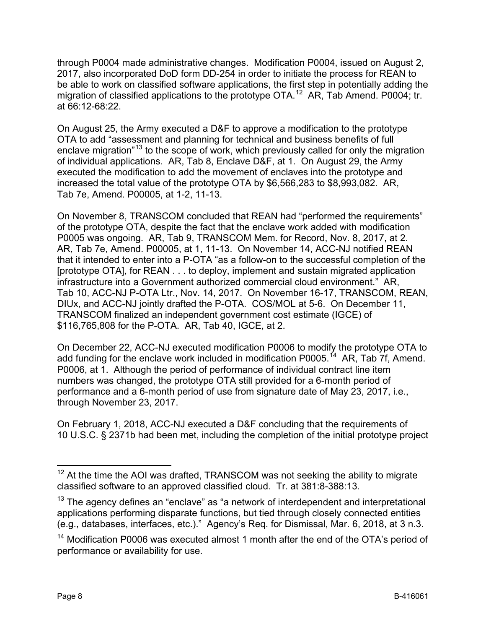through P0004 made administrative changes. Modification P0004, issued on August 2, 2017, also incorporated DoD form DD-254 in order to initiate the process for REAN to be able to work on classified software applications, the first step in potentially adding the migration of classified applications to the prototype OTA.<sup>[12](#page-7-0)</sup> AR, Tab Amend. P0004; tr. at 66:12-68:22.

On August 25, the Army executed a D&F to approve a modification to the prototype OTA to add "assessment and planning for technical and business benefits of full enclave migration<sup>"[13](#page-7-1)</sup> to the scope of work, which previously called for only the migration of individual applications. AR, Tab 8, Enclave D&F, at 1. On August 29, the Army executed the modification to add the movement of enclaves into the prototype and increased the total value of the prototype OTA by \$6,566,283 to \$8,993,082. AR, Tab 7e, Amend. P00005, at 1-2, 11-13.

On November 8, TRANSCOM concluded that REAN had "performed the requirements" of the prototype OTA, despite the fact that the enclave work added with modification P0005 was ongoing. AR, Tab 9, TRANSCOM Mem. for Record, Nov. 8, 2017, at 2. AR, Tab 7e, Amend. P00005, at 1, 11-13. On November 14, ACC-NJ notified REAN that it intended to enter into a P-OTA "as a follow-on to the successful completion of the [prototype OTA], for REAN . . . to deploy, implement and sustain migrated application infrastructure into a Government authorized commercial cloud environment." AR, Tab 10, ACC-NJ P-OTA Ltr., Nov. 14, 2017. On November 16-17, TRANSCOM, REAN, DIUx, and ACC-NJ jointly drafted the P-OTA. COS/MOL at 5-6. On December 11, TRANSCOM finalized an independent government cost estimate (IGCE) of \$116,765,808 for the P-OTA. AR, Tab 40, IGCE, at 2.

On December 22, ACC-NJ executed modification P0006 to modify the prototype OTA to add funding for the enclave work included in modification P0005.<sup> $14$ </sup> AR, Tab 7f, Amend. P0006, at 1. Although the period of performance of individual contract line item numbers was changed, the prototype OTA still provided for a 6-month period of performance and a 6-month period of use from signature date of May 23, 2017, i.e., through November 23, 2017.

On February 1, 2018, ACC-NJ executed a D&F concluding that the requirements of 10 U.S.C. § 2371b had been met, including the completion of the initial prototype project

<span id="page-7-0"></span> $12$  At the time the AOI was drafted, TRANSCOM was not seeking the ability to migrate classified software to an approved classified cloud. Tr. at 381:8-388:13.

<span id="page-7-1"></span><sup>&</sup>lt;sup>13</sup> The agency defines an "enclave" as "a network of interdependent and interpretational applications performing disparate functions, but tied through closely connected entities (e.g., databases, interfaces, etc.)." Agency's Req. for Dismissal, Mar. 6, 2018, at 3 n.3.

<span id="page-7-2"></span><sup>&</sup>lt;sup>14</sup> Modification P0006 was executed almost 1 month after the end of the OTA's period of performance or availability for use.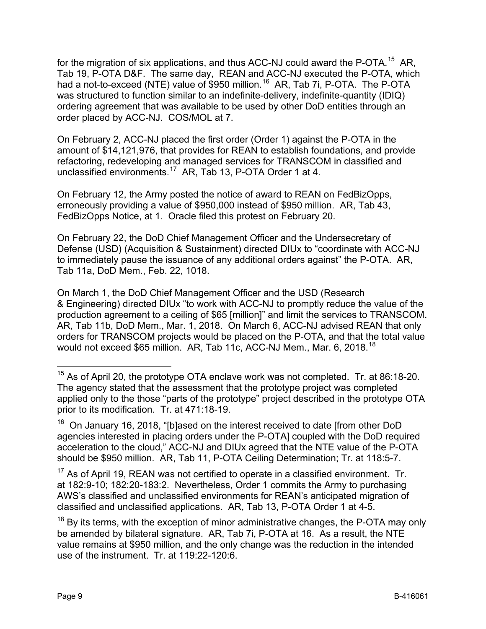for the migration of six applications, and thus ACC-NJ could award the P-OTA.<sup>[15](#page-8-0)</sup> AR, Tab 19, P-OTA D&F. The same day, REAN and ACC-NJ executed the P-OTA, which had a not-to-exceed (NTE) value of \$950 million.<sup>[16](#page-8-1)</sup> AR, Tab 7i, P-OTA. The P-OTA was structured to function similar to an indefinite-delivery, indefinite-quantity (IDIQ) ordering agreement that was available to be used by other DoD entities through an order placed by ACC-NJ. COS/MOL at 7.

On February 2, ACC-NJ placed the first order (Order 1) against the P-OTA in the amount of \$14,121,976, that provides for REAN to establish foundations, and provide refactoring, redeveloping and managed services for TRANSCOM in classified and unclassified environments.<sup>17</sup> AR, Tab 13, P-OTA Order 1 at 4.

On February 12, the Army posted the notice of award to REAN on FedBizOpps, erroneously providing a value of \$950,000 instead of \$950 million. AR, Tab 43, FedBizOpps Notice, at 1. Oracle filed this protest on February 20.

On February 22, the DoD Chief Management Officer and the Undersecretary of Defense (USD) (Acquisition & Sustainment) directed DIUx to "coordinate with ACC-NJ to immediately pause the issuance of any additional orders against" the P-OTA. AR, Tab 11a, DoD Mem., Feb. 22, 1018.

On March 1, the DoD Chief Management Officer and the USD (Research & Engineering) directed DIUx "to work with ACC-NJ to promptly reduce the value of the production agreement to a ceiling of \$65 [million]" and limit the services to TRANSCOM. AR, Tab 11b, DoD Mem., Mar. 1, 2018. On March 6, ACC-NJ advised REAN that only orders for TRANSCOM projects would be placed on the P-OTA, and that the total value would not exceed \$65 million. AR, Tab 11c, ACC-NJ Mem., Mar. 6, 20[18](#page-8-3).<sup>18</sup>

<span id="page-8-0"></span><sup>&</sup>lt;sup>15</sup> As of April 20, the prototype OTA enclave work was not completed. Tr. at 86:18-20. The agency stated that the assessment that the prototype project was completed applied only to the those "parts of the prototype" project described in the prototype OTA prior to its modification. Tr. at 471:18-19.

<span id="page-8-1"></span><sup>16</sup> On January 16, 2018, "[b]ased on the interest received to date [from other DoD agencies interested in placing orders under the P-OTA] coupled with the DoD required acceleration to the cloud," ACC-NJ and DIUx agreed that the NTE value of the P-OTA should be \$950 million. AR, Tab 11, P-OTA Ceiling Determination; Tr. at 118:5-7.

<span id="page-8-2"></span> $17$  As of April 19, REAN was not certified to operate in a classified environment. Tr. at 182:9-10; 182:20-183:2. Nevertheless, Order 1 commits the Army to purchasing AWS's classified and unclassified environments for REAN's anticipated migration of classified and unclassified applications. AR, Tab 13, P-OTA Order 1 at 4-5.

<span id="page-8-3"></span> $18$  By its terms, with the exception of minor administrative changes, the P-OTA may only be amended by bilateral signature. AR, Tab 7i, P-OTA at 16. As a result, the NTE value remains at \$950 million, and the only change was the reduction in the intended use of the instrument. Tr. at 119:22-120:6.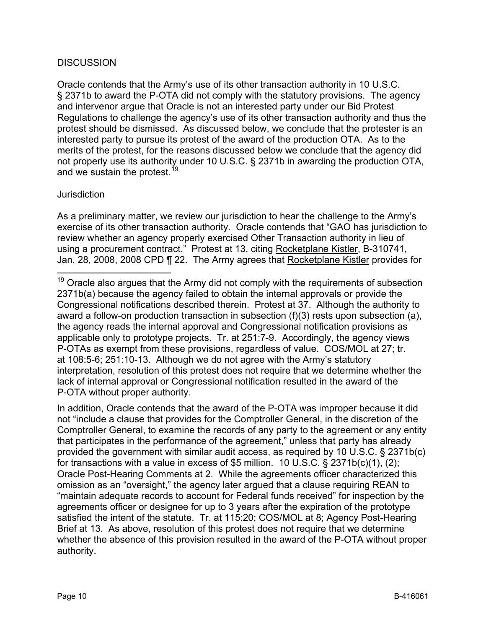## **DISCUSSION**

Oracle contends that the Army's use of its other transaction authority in 10 U.S.C. § 2371b to award the P-OTA did not comply with the statutory provisions. The agency and intervenor argue that Oracle is not an interested party under our Bid Protest Regulations to challenge the agency's use of its other transaction authority and thus the protest should be dismissed. As discussed below, we conclude that the protester is an interested party to pursue its protest of the award of the production OTA. As to the merits of the protest, for the reasons discussed below we conclude that the agency did not properly use its authority under 10 U.S.C. § 2371b in awarding the production OTA, and we sustain the protest.<sup>[19](#page-9-0)</sup>

#### **Jurisdiction**

As a preliminary matter, we review our jurisdiction to hear the challenge to the Army's exercise of its other transaction authority. Oracle contends that "GAO has jurisdiction to review whether an agency properly exercised Other Transaction authority in lieu of using a procurement contract." Protest at 13, citing Rocketplane Kistler, B-310741, Jan. 28, 2008, 2008 CPD ¶ 22. The Army agrees that Rocketplane Kistler provides for

In addition, Oracle contends that the award of the P-OTA was improper because it did not "include a clause that provides for the Comptroller General, in the discretion of the Comptroller General, to examine the records of any party to the agreement or any entity that participates in the performance of the agreement," unless that party has already provided the government with similar audit access, as required by 10 U.S.C. § 2371b(c) for transactions with a value in excess of \$5 million. 10 U.S.C. § 2371b(c)(1), (2); Oracle Post-Hearing Comments at 2. While the agreements officer characterized this omission as an "oversight," the agency later argued that a clause requiring REAN to "maintain adequate records to account for Federal funds received" for inspection by the agreements officer or designee for up to 3 years after the expiration of the prototype satisfied the intent of the statute. Tr. at 115:20; COS/MOL at 8; Agency Post-Hearing Brief at 13. As above, resolution of this protest does not require that we determine whether the absence of this provision resulted in the award of the P-OTA without proper authority.

<span id="page-9-0"></span> $19$  Oracle also argues that the Army did not comply with the requirements of subsection 2371b(a) because the agency failed to obtain the internal approvals or provide the Congressional notifications described therein. Protest at 37. Although the authority to award a follow-on production transaction in subsection (f)(3) rests upon subsection (a), the agency reads the internal approval and Congressional notification provisions as applicable only to prototype projects. Tr. at 251:7-9. Accordingly, the agency views P-OTAs as exempt from these provisions, regardless of value. COS/MOL at 27; tr. at 108:5-6; 251:10-13. Although we do not agree with the Army's statutory interpretation, resolution of this protest does not require that we determine whether the lack of internal approval or Congressional notification resulted in the award of the P-OTA without proper authority.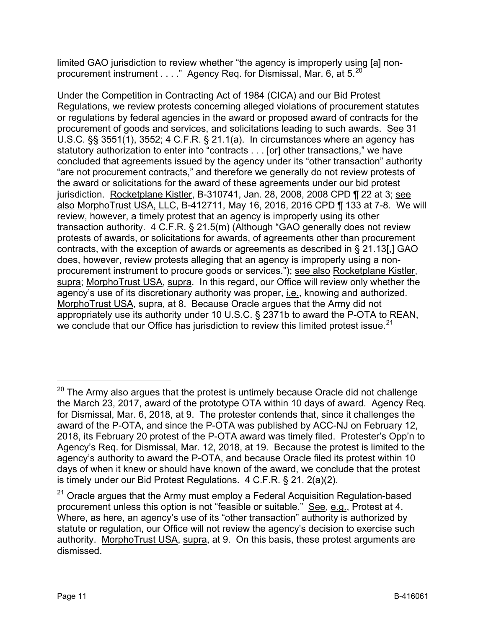limited GAO jurisdiction to review whether "the agency is improperly using [a] nonprocurement instrument . . . ." Agency Req. for Dismissal, Mar. 6, at 5.<sup>20</sup>

Under the Competition in Contracting Act of 1984 (CICA) and our Bid Protest Regulations, we review protests concerning alleged violations of procurement statutes or regulations by federal agencies in the award or proposed award of contracts for the procurement of goods and services, and solicitations leading to such awards. See 31 U.S.C. §§ 3551(1), 3552; 4 C.F.R. § 21.1(a). In circumstances where an agency has statutory authorization to enter into "contracts . . . [or] other transactions," we have concluded that agreements issued by the agency under its "other transaction" authority "are not procurement contracts," and therefore we generally do not review protests of the award or solicitations for the award of these agreements under our bid protest jurisdiction. Rocketplane Kistler, B-310741, Jan. 28, 2008, 2008 CPD ¶ 22 at 3; see also MorphoTrust USA, LLC, B-412711, May 16, 2016, 2016 CPD ¶ 133 at 7-8. We will review, however, a timely protest that an agency is improperly using its other transaction authority. 4 C.F.R. § 21.5(m) (Although "GAO generally does not review protests of awards, or solicitations for awards, of agreements other than procurement contracts, with the exception of awards or agreements as described in § 21.13[,] GAO does, however, review protests alleging that an agency is improperly using a nonprocurement instrument to procure goods or services."); see also Rocketplane Kistler, supra; MorphoTrust USA, supra. In this regard, our Office will review only whether the agency's use of its discretionary authority was proper, i.e., knowing and authorized. MorphoTrust USA, supra, at 8. Because Oracle argues that the Army did not appropriately use its authority under 10 U.S.C. § 2371b to award the P-OTA to REAN, we conclude that our Office has jurisdiction to review this limited protest issue.<sup>21</sup>

<span id="page-10-0"></span> $20$  The Army also argues that the protest is untimely because Oracle did not challenge the March 23, 2017, award of the prototype OTA within 10 days of award. Agency Req. for Dismissal, Mar. 6, 2018, at 9. The protester contends that, since it challenges the award of the P-OTA, and since the P-OTA was published by ACC-NJ on February 12, 2018, its February 20 protest of the P-OTA award was timely filed. Protester's Opp'n to Agency's Req. for Dismissal, Mar. 12, 2018, at 19. Because the protest is limited to the agency's authority to award the P-OTA, and because Oracle filed its protest within 10 days of when it knew or should have known of the award, we conclude that the protest is timely under our Bid Protest Regulations. 4 C.F.R. § 21. 2(a)(2).

<span id="page-10-1"></span> $21$  Oracle argues that the Army must employ a Federal Acquisition Regulation-based procurement unless this option is not "feasible or suitable." See, e.g., Protest at 4. Where, as here, an agency's use of its "other transaction" authority is authorized by statute or regulation, our Office will not review the agency's decision to exercise such authority. MorphoTrust USA, supra, at 9. On this basis, these protest arguments are dismissed.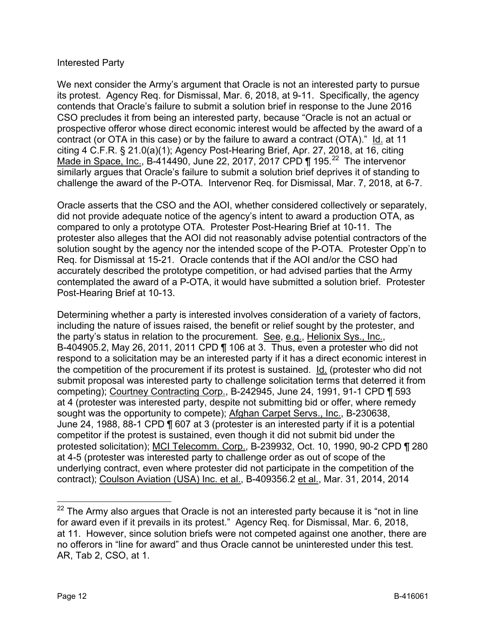## Interested Party

We next consider the Army's argument that Oracle is not an interested party to pursue its protest. Agency Req. for Dismissal, Mar. 6, 2018, at 9-11. Specifically, the agency contends that Oracle's failure to submit a solution brief in response to the June 2016 CSO precludes it from being an interested party, because "Oracle is not an actual or prospective offeror whose direct economic interest would be affected by the award of a contract (or OTA in this case) or by the failure to award a contract (OTA)." Id. at 11 citing 4 C.F.R. § 21.0(a)(1); Agency Post-Hearing Brief, Apr. 27, 2018, at 16, citing Made in Space, Inc., B-414490, June [22](#page-11-0), 2017, 2017 CPD  $\P$  195.<sup>22</sup> The intervenor similarly argues that Oracle's failure to submit a solution brief deprives it of standing to challenge the award of the P-OTA. Intervenor Req. for Dismissal, Mar. 7, 2018, at 6-7.

Oracle asserts that the CSO and the AOI, whether considered collectively or separately, did not provide adequate notice of the agency's intent to award a production OTA, as compared to only a prototype OTA. Protester Post-Hearing Brief at 10-11. The protester also alleges that the AOI did not reasonably advise potential contractors of the solution sought by the agency nor the intended scope of the P-OTA. Protester Opp'n to Req. for Dismissal at 15-21. Oracle contends that if the AOI and/or the CSO had accurately described the prototype competition, or had advised parties that the Army contemplated the award of a P-OTA, it would have submitted a solution brief. Protester Post-Hearing Brief at 10-13.

Determining whether a party is interested involves consideration of a variety of factors, including the nature of issues raised, the benefit or relief sought by the protester, and the party's status in relation to the procurement. See, e.g., Helionix Sys., Inc., B-404905.2, May 26, 2011, 2011 CPD ¶ 106 at 3. Thus, even a protester who did not respond to a solicitation may be an interested party if it has a direct economic interest in the competition of the procurement if its protest is sustained. <u>Id.</u> (protester who did not submit proposal was interested party to challenge solicitation terms that deterred it from competing); Courtney Contracting Corp., B-242945, June 24, 1991, 91-1 CPD ¶ 593 at 4 (protester was interested party, despite not submitting bid or offer, where remedy sought was the opportunity to compete); Afghan Carpet Servs., Inc., B-230638, June 24, 1988, 88-1 CPD ¶ 607 at 3 (protester is an interested party if it is a potential competitor if the protest is sustained, even though it did not submit bid under the protested solicitation); MCI Telecomm. Corp., B-239932, Oct. 10, 1990, 90-2 CPD ¶ 280 at 4-5 (protester was interested party to challenge order as out of scope of the underlying contract, even where protester did not participate in the competition of the contract); Coulson Aviation (USA) Inc. et al., B-409356.2 et al., Mar. 31, 2014, 2014

<span id="page-11-0"></span> $22$  The Army also argues that Oracle is not an interested party because it is "not in line for award even if it prevails in its protest." Agency Req. for Dismissal, Mar. 6, 2018, at 11. However, since solution briefs were not competed against one another, there are no offerors in "line for award" and thus Oracle cannot be uninterested under this test. AR, Tab 2, CSO, at 1.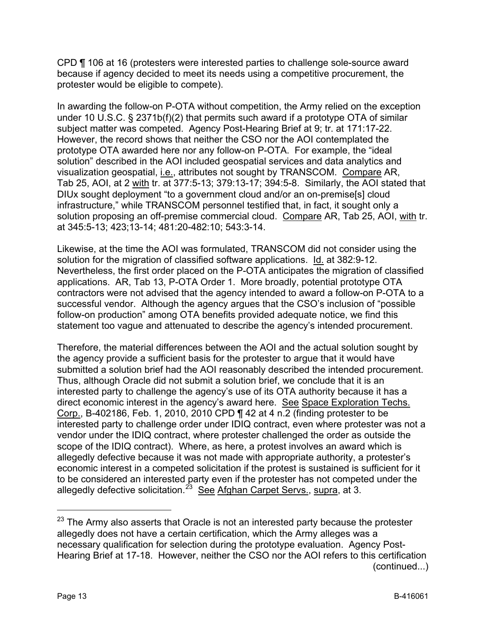CPD ¶ 106 at 16 (protesters were interested parties to challenge sole-source award because if agency decided to meet its needs using a competitive procurement, the protester would be eligible to compete).

In awarding the follow-on P-OTA without competition, the Army relied on the exception under 10 U.S.C. § 2371b(f)(2) that permits such award if a prototype OTA of similar subject matter was competed. Agency Post-Hearing Brief at 9; tr. at 171:17-22. However, the record shows that neither the CSO nor the AOI contemplated the prototype OTA awarded here nor any follow-on P-OTA. For example, the "ideal solution" described in the AOI included geospatial services and data analytics and visualization geospatial, i.e., attributes not sought by TRANSCOM. Compare AR, Tab 25, AOI, at 2 with tr. at 377:5-13; 379:13-17; 394:5-8. Similarly, the AOI stated that DIUx sought deployment "to a government cloud and/or an on-premise[s] cloud infrastructure," while TRANSCOM personnel testified that, in fact, it sought only a solution proposing an off-premise commercial cloud. Compare AR, Tab 25, AOI, with tr. at 345:5-13; 423;13-14; 481:20-482:10; 543:3-14.

Likewise, at the time the AOI was formulated, TRANSCOM did not consider using the solution for the migration of classified software applications. Id. at 382:9-12. Nevertheless, the first order placed on the P-OTA anticipates the migration of classified applications. AR, Tab 13, P-OTA Order 1. More broadly, potential prototype OTA contractors were not advised that the agency intended to award a follow-on P-OTA to a successful vendor. Although the agency argues that the CSO's inclusion of "possible follow-on production" among OTA benefits provided adequate notice, we find this statement too vague and attenuated to describe the agency's intended procurement.

Therefore, the material differences between the AOI and the actual solution sought by the agency provide a sufficient basis for the protester to argue that it would have submitted a solution brief had the AOI reasonably described the intended procurement. Thus, although Oracle did not submit a solution brief, we conclude that it is an interested party to challenge the agency's use of its OTA authority because it has a direct economic interest in the agency's award here. See Space Exploration Techs. Corp., B-402186, Feb. 1, 2010, 2010 CPD ¶ 42 at 4 n.2 (finding protester to be interested party to challenge order under IDIQ contract, even where protester was not a vendor under the IDIQ contract, where protester challenged the order as outside the scope of the IDIQ contract). Where, as here, a protest involves an award which is allegedly defective because it was not made with appropriate authority, a protester's economic interest in a competed solicitation if the protest is sustained is sufficient for it to be considered an interested party even if the protester has not competed under the allegedly defective solicitation.<sup>23</sup> See Afghan Carpet Servs., supra, at 3.

<span id="page-12-0"></span> $23$  The Army also asserts that Oracle is not an interested party because the protester allegedly does not have a certain certification, which the Army alleges was a necessary qualification for selection during the prototype evaluation. Agency Post-Hearing Brief at 17-18. However, neither the CSO nor the AOI refers to this certification (continued...)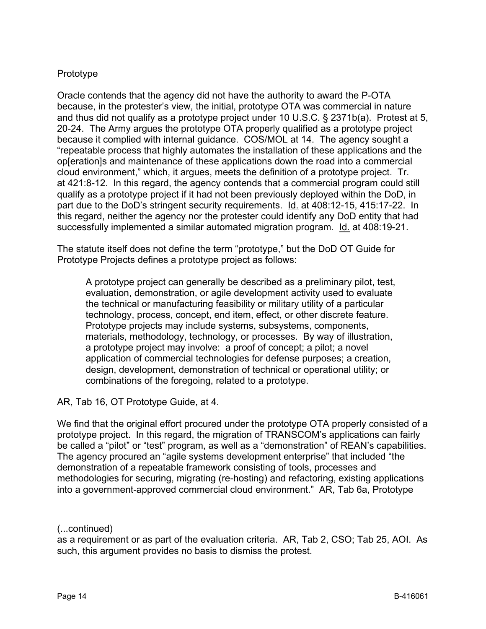# Prototype

Oracle contends that the agency did not have the authority to award the P-OTA because, in the protester's view, the initial, prototype OTA was commercial in nature and thus did not qualify as a prototype project under 10 U.S.C. § 2371b(a). Protest at 5, 20-24. The Army argues the prototype OTA properly qualified as a prototype project because it complied with internal guidance. COS/MOL at 14. The agency sought a "repeatable process that highly automates the installation of these applications and the op[eration]s and maintenance of these applications down the road into a commercial cloud environment," which, it argues, meets the definition of a prototype project. Tr. at 421:8-12. In this regard, the agency contends that a commercial program could still qualify as a prototype project if it had not been previously deployed within the DoD, in part due to the DoD's stringent security requirements. Id. at 408:12-15, 415:17-22. In this regard, neither the agency nor the protester could identify any DoD entity that had successfully implemented a similar automated migration program. Id. at 408:19-21.

The statute itself does not define the term "prototype," but the DoD OT Guide for Prototype Projects defines a prototype project as follows:

A prototype project can generally be described as a preliminary pilot, test, evaluation, demonstration, or agile development activity used to evaluate the technical or manufacturing feasibility or military utility of a particular technology, process, concept, end item, effect, or other discrete feature. Prototype projects may include systems, subsystems, components, materials, methodology, technology, or processes. By way of illustration, a prototype project may involve: a proof of concept; a pilot; a novel application of commercial technologies for defense purposes; a creation, design, development, demonstration of technical or operational utility; or combinations of the foregoing, related to a prototype.

AR, Tab 16, OT Prototype Guide, at 4.

We find that the original effort procured under the prototype OTA properly consisted of a prototype project. In this regard, the migration of TRANSCOM's applications can fairly be called a "pilot" or "test" program, as well as a "demonstration" of REAN's capabilities. The agency procured an "agile systems development enterprise" that included "the demonstration of a repeatable framework consisting of tools, processes and methodologies for securing, migrating (re-hosting) and refactoring, existing applications into a government-approved commercial cloud environment." AR, Tab 6a, Prototype

 $\overline{a}$ 

<sup>(...</sup>continued)

as a requirement or as part of the evaluation criteria. AR, Tab 2, CSO; Tab 25, AOI. As such, this argument provides no basis to dismiss the protest.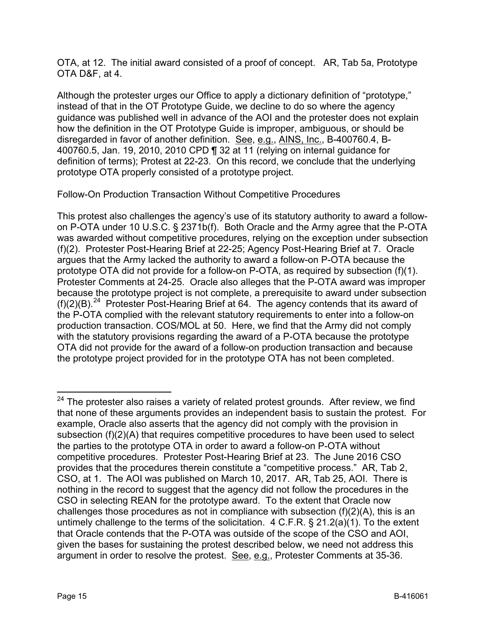OTA, at 12. The initial award consisted of a proof of concept. AR, Tab 5a, Prototype OTA D&F, at 4.

Although the protester urges our Office to apply a dictionary definition of "prototype," instead of that in the OT Prototype Guide, we decline to do so where the agency guidance was published well in advance of the AOI and the protester does not explain how the definition in the OT Prototype Guide is improper, ambiguous, or should be disregarded in favor of another definition. See, e.g., AINS, Inc., B-400760.4, B-400760.5, Jan. 19, 2010, 2010 CPD ¶ 32 at 11 (relying on internal guidance for definition of terms); Protest at 22-23. On this record, we conclude that the underlying prototype OTA properly consisted of a prototype project.

Follow-On Production Transaction Without Competitive Procedures

This protest also challenges the agency's use of its statutory authority to award a followon P-OTA under 10 U.S.C. § 2371b(f). Both Oracle and the Army agree that the P-OTA was awarded without competitive procedures, relying on the exception under subsection (f)(2). Protester Post-Hearing Brief at 22-25; Agency Post-Hearing Brief at 7. Oracle argues that the Army lacked the authority to award a follow-on P-OTA because the prototype OTA did not provide for a follow-on P-OTA, as required by subsection (f)(1). Protester Comments at 24-25. Oracle also alleges that the P-OTA award was improper because the prototype project is not complete, a prerequisite to award under subsection  $(f)(2)(B)$ <sup>24</sup> Protester Post-Hearing Brief at 64. The agency contends that its award of the P-OTA complied with the relevant statutory requirements to enter into a follow-on production transaction. COS/MOL at 50. Here, we find that the Army did not comply with the statutory provisions regarding the award of a P-OTA because the prototype OTA did not provide for the award of a follow-on production transaction and because the prototype project provided for in the prototype OTA has not been completed.

<span id="page-14-0"></span> $24$  The protester also raises a variety of related protest grounds. After review, we find that none of these arguments provides an independent basis to sustain the protest. For example, Oracle also asserts that the agency did not comply with the provision in subsection (f)(2)(A) that requires competitive procedures to have been used to select the parties to the prototype OTA in order to award a follow-on P-OTA without competitive procedures. Protester Post-Hearing Brief at 23. The June 2016 CSO provides that the procedures therein constitute a "competitive process." AR, Tab 2, CSO, at 1. The AOI was published on March 10, 2017. AR, Tab 25, AOI. There is nothing in the record to suggest that the agency did not follow the procedures in the CSO in selecting REAN for the prototype award. To the extent that Oracle now challenges those procedures as not in compliance with subsection (f)(2)(A), this is an untimely challenge to the terms of the solicitation. 4 C.F.R. § 21.2(a)(1). To the extent that Oracle contends that the P-OTA was outside of the scope of the CSO and AOI, given the bases for sustaining the protest described below, we need not address this argument in order to resolve the protest. See, e.g., Protester Comments at 35-36.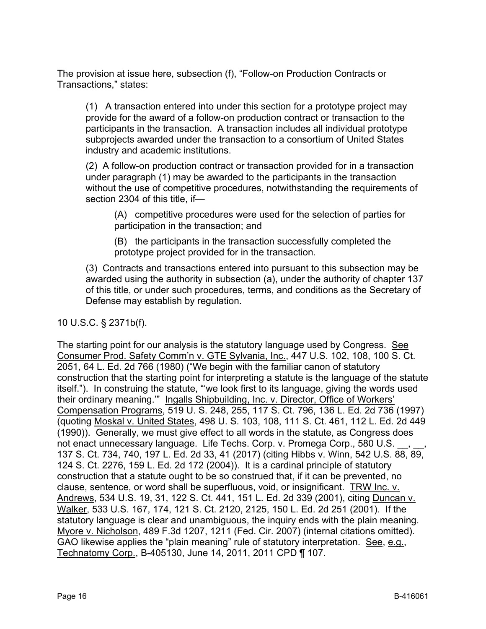The provision at issue here, subsection (f), "Follow-on Production Contracts or Transactions," states:

(1) A transaction entered into under this section for a prototype project may provide for the award of a follow-on production contract or transaction to the participants in the transaction. A transaction includes all individual prototype subprojects awarded under the transaction to a consortium of United States industry and academic institutions.

(2) A follow-on production contract or transaction provided for in a transaction under paragraph (1) may be awarded to the participants in the transaction without the use of competitive procedures, notwithstanding the requirements of section 2304 of this title, if—

(A) competitive procedures were used for the selection of parties for participation in the transaction; and

(B) the participants in the transaction successfully completed the prototype project provided for in the transaction.

(3) Contracts and transactions entered into pursuant to this subsection may be awarded using the authority in subsection (a), under the authority of chapter 137 of this title, or under such procedures, terms, and conditions as the Secretary of Defense may establish by regulation.

# 10 U.S.C. § 2371b(f).

The starting point for our analysis is the statutory language used by Congress. See Consumer Prod. Safety Comm'n v. GTE Sylvania, Inc., 447 U.S. 102, 108, 100 S. Ct. 2051, 64 L. Ed. 2d 766 (1980) ("We begin with the familiar canon of statutory construction that the starting point for interpreting a statute is the language of the statute itself."). In construing the statute, "'we look first to its language, giving the words used their ordinary meaning.'" Ingalls Shipbuilding, Inc. v. Director, Office of Workers' Compensation Programs, 519 U. S. 248, 255, 117 S. Ct. 796, 136 L. Ed. 2d 736 (1997) (quoting Moskal v. United States, 498 U. S. 103, 108, 111 S. Ct. 461, 112 L. Ed. 2d 449 (1990)). Generally, we must give effect to all words in the statute, as Congress does not enact unnecessary language. Life Techs. Corp. v. Promega Corp., 580 U.S. 137 S. Ct. 734, 740, 197 L. Ed. 2d 33, 41 (2017) (citing Hibbs v. Winn, 542 U.S. 88, 89, 124 S. Ct. 2276, 159 L. Ed. 2d 172 (2004)). It is a cardinal principle of statutory construction that a statute ought to be so construed that, if it can be prevented, no clause, sentence, or word shall be superfluous, void, or insignificant. TRW Inc. v. Andrews, 534 U.S. 19, 31, 122 S. Ct. 441, 151 L. Ed. 2d 339 (2001), citing Duncan v. Walker, 533 U.S. 167, 174, 121 S. Ct. 2120, 2125, 150 L. Ed. 2d 251 (2001). If the statutory language is clear and unambiguous, the inquiry ends with the plain meaning. Myore v. Nicholson, 489 F.3d 1207, 1211 (Fed. Cir. 2007) (internal citations omitted). GAO likewise applies the "plain meaning" rule of statutory interpretation. See, e.g., Technatomy Corp., B-405130, June 14, 2011, 2011 CPD ¶ 107.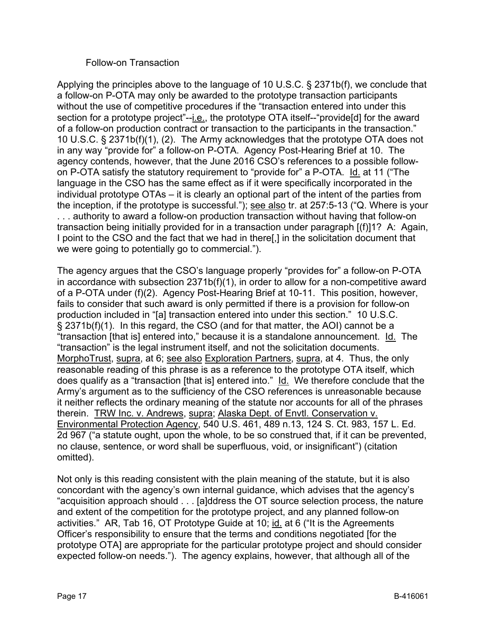#### Follow-on Transaction

Applying the principles above to the language of 10 U.S.C. § 2371b(f), we conclude that a follow-on P-OTA may only be awarded to the prototype transaction participants without the use of competitive procedures if the "transaction entered into under this section for a prototype project"--i.e., the prototype OTA itself--"provide[d] for the award of a follow-on production contract or transaction to the participants in the transaction." 10 U.S.C. § 2371b(f)(1), (2). The Army acknowledges that the prototype OTA does not in any way "provide for" a follow-on P-OTA. Agency Post-Hearing Brief at 10. The agency contends, however, that the June 2016 CSO's references to a possible followon P-OTA satisfy the statutory requirement to "provide for" a P-OTA. Id. at 11 ("The language in the CSO has the same effect as if it were specifically incorporated in the individual prototype OTAs – it is clearly an optional part of the intent of the parties from the inception, if the prototype is successful."); see also tr. at 257:5-13 ("Q. Where is your . . . authority to award a follow-on production transaction without having that follow-on transaction being initially provided for in a transaction under paragraph [(f)]1? A: Again, I point to the CSO and the fact that we had in there[,] in the solicitation document that we were going to potentially go to commercial.").

The agency argues that the CSO's language properly "provides for" a follow-on P-OTA in accordance with subsection 2371b(f)(1), in order to allow for a non-competitive award of a P-OTA under (f)(2). Agency Post-Hearing Brief at 10-11. This position, however, fails to consider that such award is only permitted if there is a provision for follow-on production included in "[a] transaction entered into under this section." 10 U.S.C. § 2371b(f)(1). In this regard, the CSO (and for that matter, the AOI) cannot be a "transaction [that is] entered into," because it is a standalone announcement. Id. The "transaction" is the legal instrument itself, and not the solicitation documents. MorphoTrust, supra, at 6; see also Exploration Partners, supra, at 4. Thus, the only reasonable reading of this phrase is as a reference to the prototype OTA itself, which does qualify as a "transaction [that is] entered into." Id. We therefore conclude that the Army's argument as to the sufficiency of the CSO references is unreasonable because it neither reflects the ordinary meaning of the statute nor accounts for all of the phrases therein. TRW Inc. v. Andrews, supra; Alaska Dept. of Envtl. Conservation v. Environmental Protection Agency, 540 U.S. 461, 489 n.13, 124 S. Ct. 983, 157 L. Ed. 2d 967 ("a statute ought, upon the whole, to be so construed that, if it can be prevented, no clause, sentence, or word shall be superfluous, void, or insignificant") (citation omitted).

Not only is this reading consistent with the plain meaning of the statute, but it is also concordant with the agency's own internal guidance, which advises that the agency's "acquisition approach should . . . [a]ddress the OT source selection process, the nature and extent of the competition for the prototype project, and any planned follow-on activities." AR, Tab 16, OT Prototype Guide at 10; id. at 6 ("It is the Agreements Officer's responsibility to ensure that the terms and conditions negotiated [for the prototype OTA] are appropriate for the particular prototype project and should consider expected follow-on needs."). The agency explains, however, that although all of the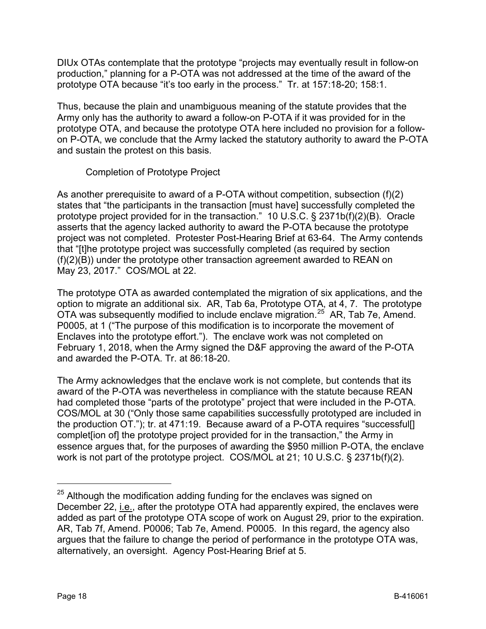DIUx OTAs contemplate that the prototype "projects may eventually result in follow-on production," planning for a P-OTA was not addressed at the time of the award of the prototype OTA because "it's too early in the process." Tr. at 157:18-20; 158:1.

Thus, because the plain and unambiguous meaning of the statute provides that the Army only has the authority to award a follow-on P-OTA if it was provided for in the prototype OTA, and because the prototype OTA here included no provision for a followon P-OTA, we conclude that the Army lacked the statutory authority to award the P-OTA and sustain the protest on this basis.

Completion of Prototype Project

As another prerequisite to award of a P-OTA without competition, subsection (f)(2) states that "the participants in the transaction [must have] successfully completed the prototype project provided for in the transaction." 10 U.S.C. § 2371b(f)(2)(B). Oracle asserts that the agency lacked authority to award the P-OTA because the prototype project was not completed. Protester Post-Hearing Brief at 63-64. The Army contends that "[t]he prototype project was successfully completed (as required by section (f)(2)(B)) under the prototype other transaction agreement awarded to REAN on May 23, 2017." COS/MOL at 22.

The prototype OTA as awarded contemplated the migration of six applications, and the option to migrate an additional six. AR, Tab 6a, Prototype OTA, at 4, 7. The prototype OTA was subsequently modified to include enclave migration.[25](#page-17-0) AR, Tab 7e, Amend. P0005, at 1 ("The purpose of this modification is to incorporate the movement of Enclaves into the prototype effort."). The enclave work was not completed on February 1, 2018, when the Army signed the D&F approving the award of the P-OTA and awarded the P-OTA. Tr. at 86:18-20.

The Army acknowledges that the enclave work is not complete, but contends that its award of the P-OTA was nevertheless in compliance with the statute because REAN had completed those "parts of the prototype" project that were included in the P-OTA. COS/MOL at 30 ("Only those same capabilities successfully prototyped are included in the production OT."); tr. at 471:19. Because award of a P-OTA requires "successful[] complet fion of the prototype project provided for in the transaction," the Army in essence argues that, for the purposes of awarding the \$950 million P-OTA, the enclave work is not part of the prototype project. COS/MOL at 21; 10 U.S.C. § 2371b(f)(2).

<span id="page-17-0"></span> $25$  Although the modification adding funding for the enclaves was signed on December 22, i.e., after the prototype OTA had apparently expired, the enclaves were added as part of the prototype OTA scope of work on August 29, prior to the expiration. AR, Tab 7f, Amend. P0006; Tab 7e, Amend. P0005. In this regard, the agency also argues that the failure to change the period of performance in the prototype OTA was, alternatively, an oversight. Agency Post-Hearing Brief at 5.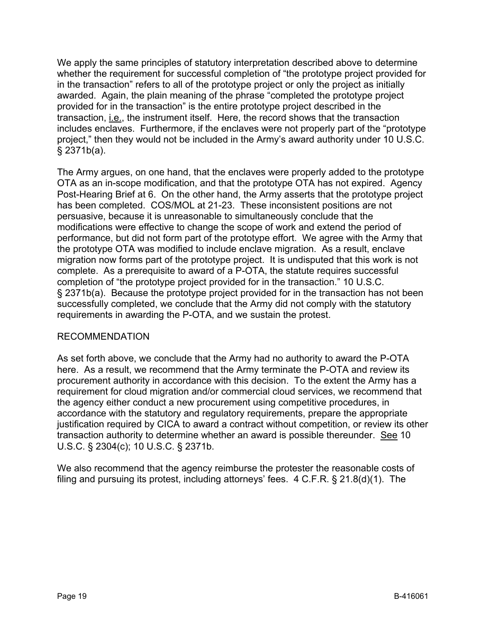We apply the same principles of statutory interpretation described above to determine whether the requirement for successful completion of "the prototype project provided for in the transaction" refers to all of the prototype project or only the project as initially awarded. Again, the plain meaning of the phrase "completed the prototype project provided for in the transaction" is the entire prototype project described in the transaction, i.e., the instrument itself. Here, the record shows that the transaction includes enclaves. Furthermore, if the enclaves were not properly part of the "prototype project," then they would not be included in the Army's award authority under 10 U.S.C. § 2371b(a).

The Army argues, on one hand, that the enclaves were properly added to the prototype OTA as an in-scope modification, and that the prototype OTA has not expired. Agency Post-Hearing Brief at 6. On the other hand, the Army asserts that the prototype project has been completed. COS/MOL at 21-23. These inconsistent positions are not persuasive, because it is unreasonable to simultaneously conclude that the modifications were effective to change the scope of work and extend the period of performance, but did not form part of the prototype effort. We agree with the Army that the prototype OTA was modified to include enclave migration. As a result, enclave migration now forms part of the prototype project. It is undisputed that this work is not complete. As a prerequisite to award of a P-OTA, the statute requires successful completion of "the prototype project provided for in the transaction." 10 U.S.C. § 2371b(a). Because the prototype project provided for in the transaction has not been successfully completed, we conclude that the Army did not comply with the statutory requirements in awarding the P-OTA, and we sustain the protest.

#### RECOMMENDATION

As set forth above, we conclude that the Army had no authority to award the P-OTA here. As a result, we recommend that the Army terminate the P-OTA and review its procurement authority in accordance with this decision. To the extent the Army has a requirement for cloud migration and/or commercial cloud services, we recommend that the agency either conduct a new procurement using competitive procedures, in accordance with the statutory and regulatory requirements, prepare the appropriate justification required by CICA to award a contract without competition, or review its other transaction authority to determine whether an award is possible thereunder. See 10 U.S.C. § 2304(c); 10 U.S.C. § 2371b.

We also recommend that the agency reimburse the protester the reasonable costs of filing and pursuing its protest, including attorneys' fees. 4 C.F.R. § 21.8(d)(1). The